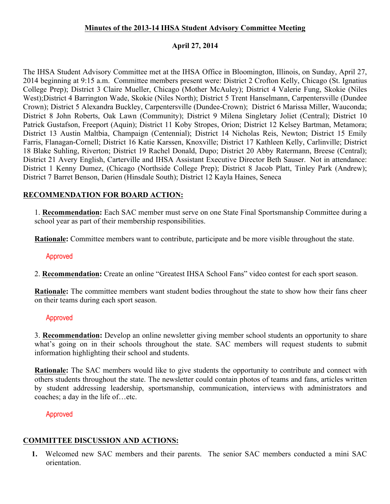## **Minutes of the 2013-14 IHSA Student Advisory Committee Meeting**

### **April 27, 2014**

The IHSA Student Advisory Committee met at the IHSA Office in Bloomington, Illinois, on Sunday, April 27, 2014 beginning at 9:15 a.m. Committee members present were: District 2 Crofton Kelly, Chicago (St. Ignatius College Prep); District 3 Claire Mueller, Chicago (Mother McAuley); District 4 Valerie Fung, Skokie (Niles West);District 4 Barrington Wade, Skokie (Niles North); District 5 Trent Hanselmann, Carpentersville (Dundee Crown); District 5 Alexandra Buckley, Carpentersville (Dundee-Crown); District 6 Marissa Miller, Wauconda; District 8 John Roberts, Oak Lawn (Community); District 9 Milena Singletary Joliet (Central); District 10 Patrick Gustafson, Freeport (Aquin); District 11 Koby Stropes, Orion; District 12 Kelsey Bartman, Metamora; District 13 Austin Maltbia, Champaign (Centennial); District 14 Nicholas Reis, Newton; District 15 Emily Farris, Flanagan-Cornell; District 16 Katie Karssen, Knoxville; District 17 Kathleen Kelly, Carlinville; District 18 Blake Suhling, Riverton; District 19 Rachel Donald, Dupo; District 20 Abby Ratermann, Breese (Central); District 21 Avery English, Carterville and IHSA Assistant Executive Director Beth Sauser. Not in attendance: District 1 Kenny Dumez, (Chicago (Northside College Prep); District 8 Jacob Platt, Tinley Park (Andrew); District 7 Barret Benson, Darien (Hinsdale South); District 12 Kayla Haines, Seneca

# **RECOMMENDATION FOR BOARD ACTION:**

1. **Recommendation:** Each SAC member must serve on one State Final Sportsmanship Committee during a school year as part of their membership responsibilities.

**Rationale:** Committee members want to contribute, participate and be more visible throughout the state.

#### Approved

2. **Recommendation:** Create an online "Greatest IHSA School Fans" video contest for each sport season.

**Rationale:** The committee members want student bodies throughout the state to show how their fans cheer on their teams during each sport season.

## Approved

3. **Recommendation:** Develop an online newsletter giving member school students an opportunity to share what's going on in their schools throughout the state. SAC members will request students to submit information highlighting their school and students.

**Rationale:** The SAC members would like to give students the opportunity to contribute and connect with others students throughout the state. The newsletter could contain photos of teams and fans, articles written by student addressing leadership, sportsmanship, communication, interviews with administrators and coaches; a day in the life of…etc.

#### Approved

# **COMMITTEE DISCUSSION AND ACTIONS:**

**1.** Welcomed new SAC members and their parents. The senior SAC members conducted a mini SAC orientation.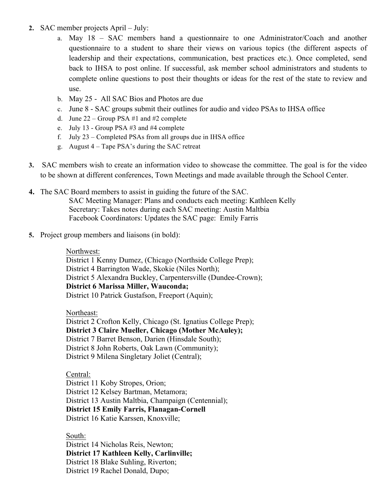- **2.** SAC member projects April July:
	- a. May 18 SAC members hand a questionnaire to one Administrator/Coach and another questionnaire to a student to share their views on various topics (the different aspects of leadership and their expectations, communication, best practices etc.). Once completed, send back to IHSA to post online. If successful, ask member school administrators and students to complete online questions to post their thoughts or ideas for the rest of the state to review and use.
	- b. May 25 All SAC Bios and Photos are due
	- c. June 8 SAC groups submit their outlines for audio and video PSAs to IHSA office
	- d. June  $22 -$  Group PSA #1 and #2 complete
	- e. July 13 Group PSA #3 and #4 complete
	- f. July 23 Completed PSAs from all groups due in IHSA office
	- g. August 4 Tape PSA's during the SAC retreat
- **3.** SAC members wish to create an information video to showcase the committee. The goal is for the video to be shown at different conferences, Town Meetings and made available through the School Center.
- **4.** The SAC Board members to assist in guiding the future of the SAC. SAC Meeting Manager: Plans and conducts each meeting: Kathleen Kelly Secretary: Takes notes during each SAC meeting: Austin Maltbia Facebook Coordinators: Updates the SAC page: Emily Farris
- **5.** Project group members and liaisons (in bold):

#### Northwest:

District 1 Kenny Dumez, (Chicago (Northside College Prep); District 4 Barrington Wade, Skokie (Niles North); District 5 Alexandra Buckley, Carpentersville (Dundee-Crown); **District 6 Marissa Miller, Wauconda;**  District 10 Patrick Gustafson, Freeport (Aquin);

Northeast:

District 2 Crofton Kelly, Chicago (St. Ignatius College Prep); **District 3 Claire Mueller, Chicago (Mother McAuley);** District 7 Barret Benson, Darien (Hinsdale South); District 8 John Roberts, Oak Lawn (Community); District 9 Milena Singletary Joliet (Central);

Central:

District 11 Koby Stropes, Orion; District 12 Kelsey Bartman, Metamora; District 13 Austin Maltbia, Champaign (Centennial); **District 15 Emily Farris, Flanagan-Cornell** District 16 Katie Karssen, Knoxville;

South:

District 14 Nicholas Reis, Newton; **District 17 Kathleen Kelly, Carlinville;** District 18 Blake Suhling, Riverton; District 19 Rachel Donald, Dupo;